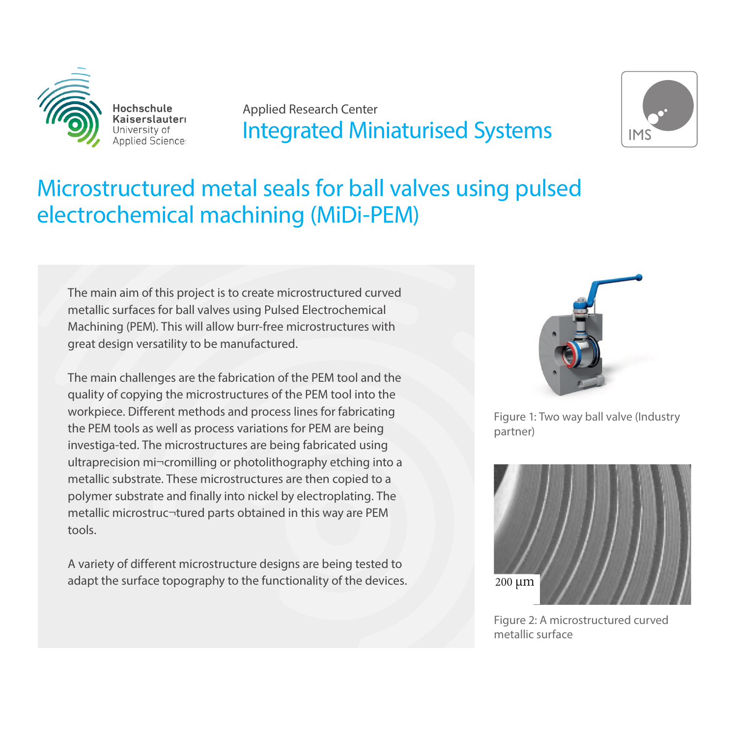

Hochschule Kaiserslauteri **Applied Science:** 

### Applied Research Center Integrated Miniaturised Systems



## Microstructured metal seals for ball valves using pulsed electrochemical machining (MiDi-PEM)

The main aim of this project is to create microstructured curved metallic surfaces for ball valves using Pulsed Electrochemical Machining (PEM). This will allow burr-free microstructures with great design versatility to be manufactured.

The main challenges are the fabrication of the PEM tool and the quality of copying the microstructures of the PEM tool into the workpiece. Different methods and process lines for fabricating the PEM tools as well as process variations for PEM are being investiga-ted. The microstructures are being fabricated using ultraprecision mi¬cromilling or photolithography etching into a metallic substrate. These microstructures are then copied to a polymer substrate and finally into nickel by electroplating. The metallic microstruc¬tured parts obtained in this way are PEM tools.

A variety of different microstructure designs are being tested to adapt the surface topography to the functionality of the devices.



Figure 1: Two way ball valve (Industry partner)



Figure 2: A microstructured curved metallic surface